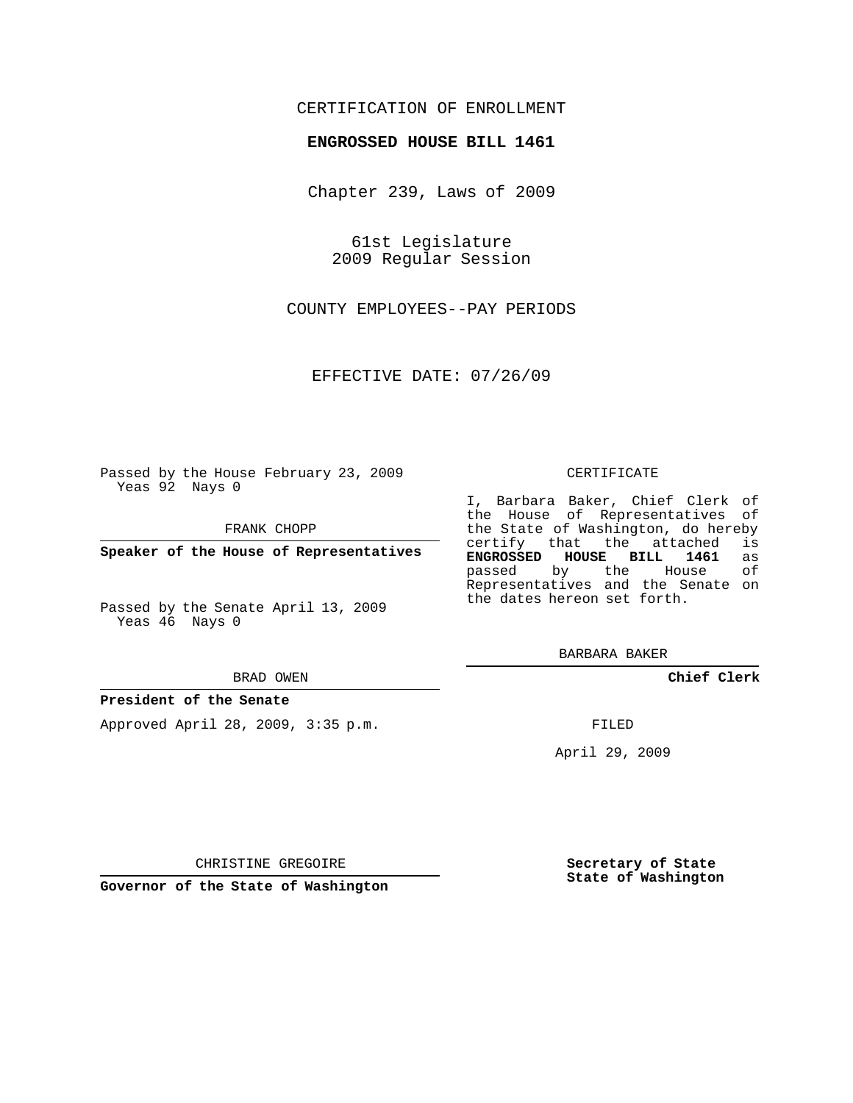### CERTIFICATION OF ENROLLMENT

### **ENGROSSED HOUSE BILL 1461**

Chapter 239, Laws of 2009

61st Legislature 2009 Regular Session

COUNTY EMPLOYEES--PAY PERIODS

EFFECTIVE DATE: 07/26/09

Passed by the House February 23, 2009 Yeas 92 Nays 0

FRANK CHOPP

**Speaker of the House of Representatives**

Passed by the Senate April 13, 2009 Yeas 46 Nays 0

#### BRAD OWEN

#### **President of the Senate**

Approved April 28, 2009, 3:35 p.m.

#### CERTIFICATE

I, Barbara Baker, Chief Clerk of the House of Representatives of the State of Washington, do hereby<br>certify that the attached is certify that the attached is<br>**ENGROSSED HOUSE BILL 1461** as **ENGROSSED HOUSE BILL 1461** as passed by the House Representatives and the Senate on the dates hereon set forth.

BARBARA BAKER

**Chief Clerk**

FILED

April 29, 2009

CHRISTINE GREGOIRE

**Secretary of State State of Washington**

**Governor of the State of Washington**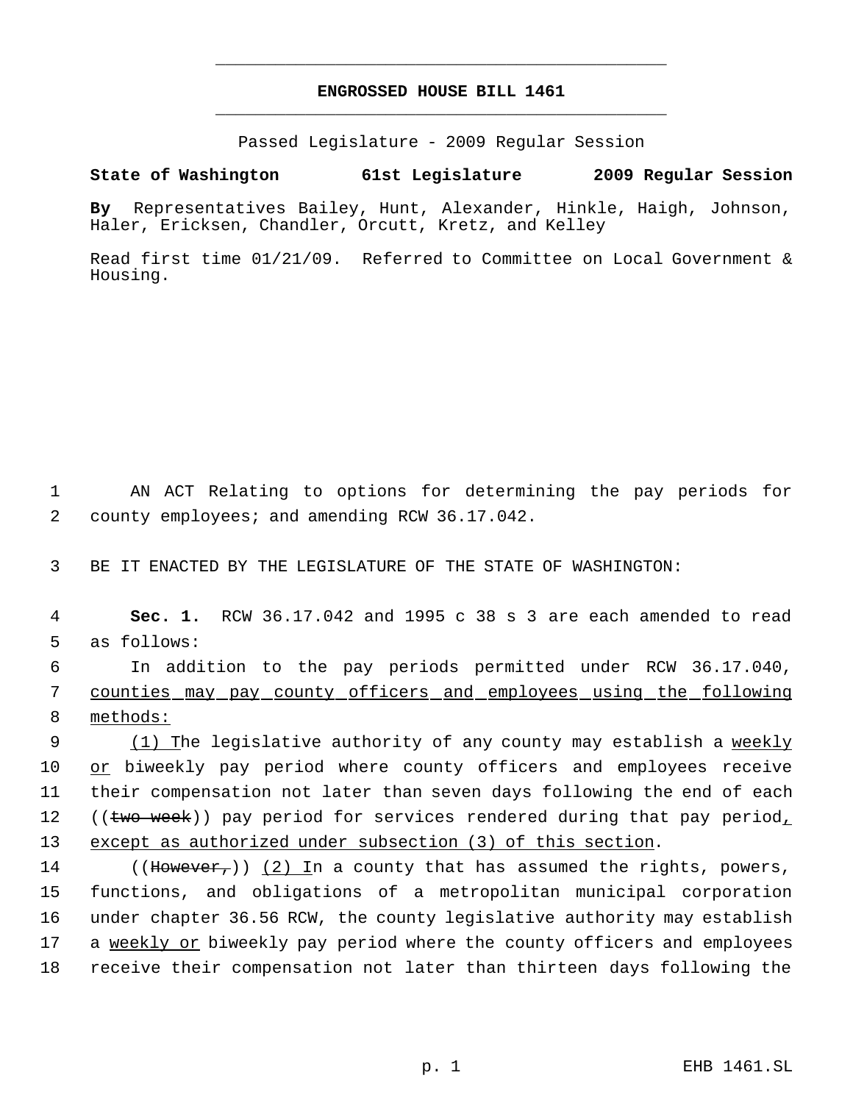# **ENGROSSED HOUSE BILL 1461** \_\_\_\_\_\_\_\_\_\_\_\_\_\_\_\_\_\_\_\_\_\_\_\_\_\_\_\_\_\_\_\_\_\_\_\_\_\_\_\_\_\_\_\_\_

\_\_\_\_\_\_\_\_\_\_\_\_\_\_\_\_\_\_\_\_\_\_\_\_\_\_\_\_\_\_\_\_\_\_\_\_\_\_\_\_\_\_\_\_\_

Passed Legislature - 2009 Regular Session

## **State of Washington 61st Legislature 2009 Regular Session**

**By** Representatives Bailey, Hunt, Alexander, Hinkle, Haigh, Johnson, Haler, Ericksen, Chandler, Orcutt, Kretz, and Kelley

Read first time 01/21/09. Referred to Committee on Local Government & Housing.

 1 AN ACT Relating to options for determining the pay periods for 2 county employees; and amending RCW 36.17.042.

3 BE IT ENACTED BY THE LEGISLATURE OF THE STATE OF WASHINGTON:

 4 **Sec. 1.** RCW 36.17.042 and 1995 c 38 s 3 are each amended to read 5 as follows:

 6 In addition to the pay periods permitted under RCW 36.17.040, 7 counties may pay county officers and employees using the following 8 methods:

9 (1) The legislative authority of any county may establish a <u>weekly</u> 10 or biweekly pay period where county officers and employees receive 11 their compensation not later than seven days following the end of each 12 ((two week)) pay period for services rendered during that pay period, 13 except as authorized under subsection (3) of this section.

14 ((However,)) (2) In a county that has assumed the rights, powers, functions, and obligations of a metropolitan municipal corporation under chapter 36.56 RCW, the county legislative authority may establish a weekly or biweekly pay period where the county officers and employees receive their compensation not later than thirteen days following the